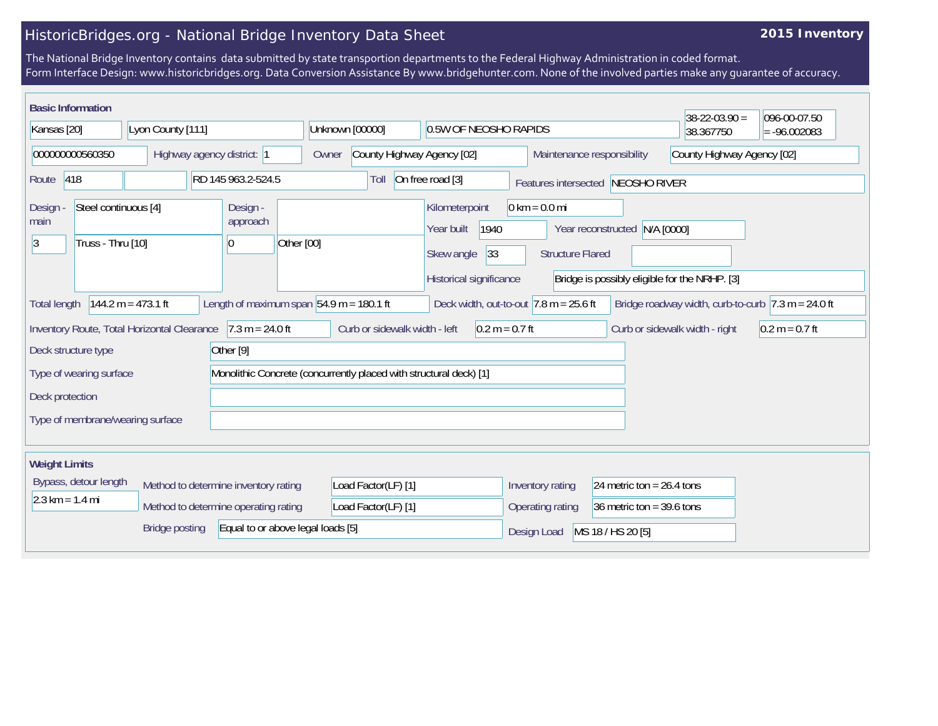## HistoricBridges.org - National Bridge Inventory Data Sheet

## **2015 Inventory**

The National Bridge Inventory contains data submitted by state transportion departments to the Federal Highway Administration in coded format. Form Interface Design: www.historicbridges.org. Data Conversion Assistance By www.bridgehunter.com. None of the involved parties make any guarantee of accuracy.

| <b>Basic Information</b>                                          |                                             |                                          |                                                                    |                                                                                      |                                                            |                               | $38 - 22 - 03.90 =$                                                    | 096-00-07.50     |
|-------------------------------------------------------------------|---------------------------------------------|------------------------------------------|--------------------------------------------------------------------|--------------------------------------------------------------------------------------|------------------------------------------------------------|-------------------------------|------------------------------------------------------------------------|------------------|
| Kansas [20]<br>Lyon County [111]                                  |                                             | Unknown [00000]<br>0.5W OF NEOSHO RAPIDS |                                                                    |                                                                                      |                                                            | 38.367750                     | $= -96.002083$                                                         |                  |
| 000000000560350<br>Highway agency district: 1                     |                                             |                                          | County Highway Agency [02]<br>Owner                                |                                                                                      | Maintenance responsibility                                 |                               | County Highway Agency [02]                                             |                  |
| 418<br>RD 145 963.2-524.5<br>Route                                |                                             |                                          | On free road [3]<br>Toll<br>Features intersected NEOSHO RIVER      |                                                                                      |                                                            |                               |                                                                        |                  |
| Steel continuous [4]<br>Design<br>main<br>Truss - Thru [10]<br> 3 |                                             | Design -<br>approach<br>Other [00]<br>10 |                                                                    | Kilometerpoint<br>1940<br>Year built<br> 33<br>Skew angle<br>Historical significance | $0 \text{ km} = 0.0 \text{ mi}$<br><b>Structure Flared</b> | Year reconstructed N/A [0000] | Bridge is possibly eligible for the NRHP. [3]                          |                  |
| <b>Total length</b>                                               | $144.2 m = 473.1 ft$                        |                                          | Length of maximum span $54.9$ m = 180.1 ft                         | Deck width, out-to-out $ 7.8 \text{ m} = 25.6 \text{ ft} $                           |                                                            |                               | Bridge roadway width, curb-to-curb $ 7.3 \text{ m} = 24.0 \text{ ft} $ |                  |
|                                                                   | Inventory Route, Total Horizontal Clearance | $7.3 m = 24.0 ft$                        | Curb or sidewalk width - left                                      | $0.2 m = 0.7 ft$                                                                     |                                                            |                               | Curb or sidewalk width - right                                         | $0.2 m = 0.7 ft$ |
| Deck structure type                                               |                                             | Other <sup>[9]</sup>                     |                                                                    |                                                                                      |                                                            |                               |                                                                        |                  |
| Type of wearing surface                                           |                                             |                                          | Monolithic Concrete (concurrently placed with structural deck) [1] |                                                                                      |                                                            |                               |                                                                        |                  |
| Deck protection                                                   |                                             |                                          |                                                                    |                                                                                      |                                                            |                               |                                                                        |                  |
| Type of membrane/wearing surface                                  |                                             |                                          |                                                                    |                                                                                      |                                                            |                               |                                                                        |                  |
| <b>Weight Limits</b>                                              |                                             |                                          |                                                                    |                                                                                      |                                                            |                               |                                                                        |                  |
| Bypass, detour length<br>Method to determine inventory rating     |                                             | Load Factor(LF) [1]                      |                                                                    | Inventory rating                                                                     | 24 metric ton = $26.4$ tons                                |                               |                                                                        |                  |
| $2.3 \text{ km} = 1.4 \text{ mi}$                                 | Method to determine operating rating        |                                          | Load Factor(LF) [1]                                                |                                                                                      | Operating rating                                           | 36 metric ton = $39.6$ tons   |                                                                        |                  |
| Equal to or above legal loads [5]<br><b>Bridge posting</b>        |                                             |                                          |                                                                    | Design Load                                                                          | MS 18 / HS 20 [5]                                          |                               |                                                                        |                  |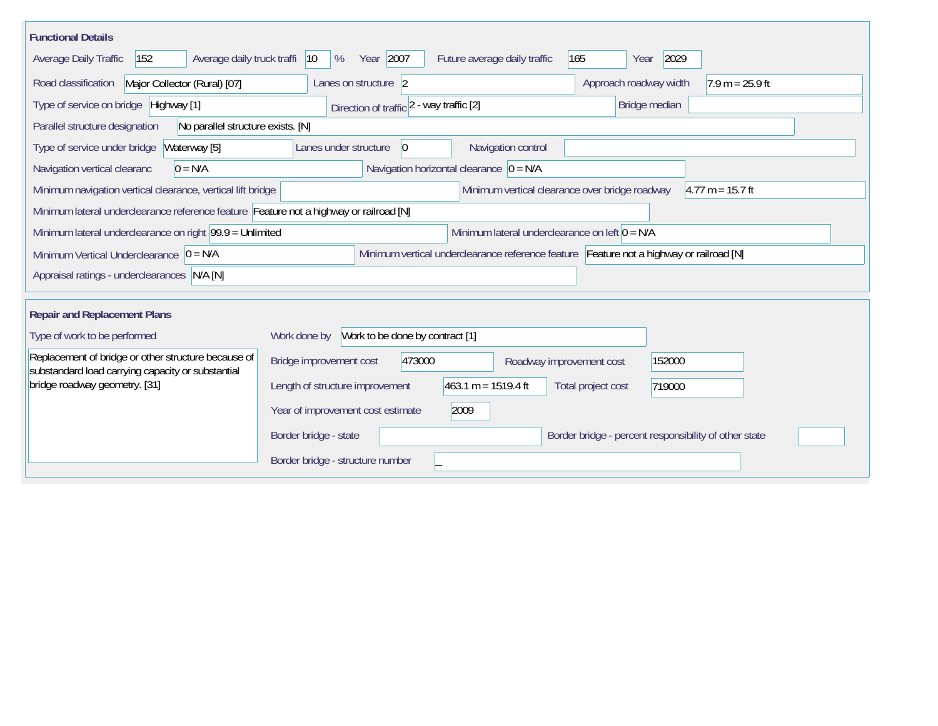| <b>Functional Details</b>                                                                                |                                              |        |                                                                                         |     |                        |        |                                                       |
|----------------------------------------------------------------------------------------------------------|----------------------------------------------|--------|-----------------------------------------------------------------------------------------|-----|------------------------|--------|-------------------------------------------------------|
| Average daily truck traffi<br>152<br>Average Daily Traffic                                               | Year 2007<br>$ 10\rangle$<br>%               |        | Future average daily traffic                                                            | 165 | Year                   | 2029   |                                                       |
| Road classification<br>Major Collector (Rural) [07]                                                      | Lanes on structure 2                         |        |                                                                                         |     | Approach roadway width |        | $1.9 m = 25.9 ft$                                     |
| Type of service on bridge Highway [1]                                                                    | Direction of traffic 2 - way traffic [2]     |        |                                                                                         |     | Bridge median          |        |                                                       |
| Parallel structure designation<br>No parallel structure exists. [N]                                      |                                              |        |                                                                                         |     |                        |        |                                                       |
| Type of service under bridge<br>Waterway [5]                                                             | Lanes under structure                        | 0      | Navigation control                                                                      |     |                        |        |                                                       |
| Navigation vertical clearanc<br>$0 = N/A$                                                                |                                              |        | Navigation horizontal clearance $ 0 = N/A $                                             |     |                        |        |                                                       |
| Minimum navigation vertical clearance, vertical lift bridge                                              |                                              |        | Minimum vertical clearance over bridge roadway                                          |     |                        |        | $4.77 m = 15.7 ft$                                    |
| Minimum lateral underclearance reference feature Feature not a highway or railroad [N]                   |                                              |        |                                                                                         |     |                        |        |                                                       |
| Minimum lateral underclearance on right $99.9 =$ Unlimited                                               |                                              |        | Minimum lateral underclearance on left $0 = N/A$                                        |     |                        |        |                                                       |
| Minimum Vertical Underclearance $ 0 = N/A $                                                              |                                              |        | Minimum vertical underclearance reference feature Feature not a highway or railroad [N] |     |                        |        |                                                       |
| Appraisal ratings - underclearances N/A [N]                                                              |                                              |        |                                                                                         |     |                        |        |                                                       |
|                                                                                                          |                                              |        |                                                                                         |     |                        |        |                                                       |
| <b>Repair and Replacement Plans</b>                                                                      |                                              |        |                                                                                         |     |                        |        |                                                       |
| Type of work to be performed                                                                             | Work done by Work to be done by contract [1] |        |                                                                                         |     |                        |        |                                                       |
| Replacement of bridge or other structure because of<br>substandard load carrying capacity or substantial | Bridge improvement cost                      | 473000 | Roadway improvement cost                                                                |     |                        | 152000 |                                                       |
| bridge roadway geometry. [31]                                                                            | Length of structure improvement              |        | $463.1 m = 1519.4 ft$                                                                   |     | Total project cost     | 719000 |                                                       |
|                                                                                                          | Year of improvement cost estimate            |        | 2009                                                                                    |     |                        |        |                                                       |
|                                                                                                          | Border bridge - state                        |        |                                                                                         |     |                        |        | Border bridge - percent responsibility of other state |
|                                                                                                          | Border bridge - structure number             |        |                                                                                         |     |                        |        |                                                       |